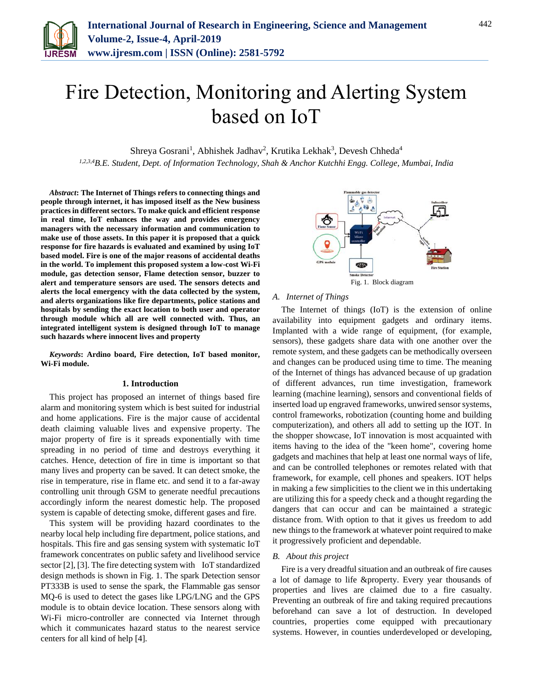

# Fire Detection, Monitoring and Alerting System based on IoT

Shreya Gosrani<sup>1</sup>, Abhishek Jadhav<sup>2</sup>, Krutika Lekhak<sup>3</sup>, Devesh Chheda<sup>4</sup>

*1,2,3,4B.E. Student, Dept. of Information Technology, Shah & Anchor Kutchhi Engg. College, Mumbai, India*

*Abstract***: The Internet of Things refers to connecting things and people through internet, it has imposed itself as the New business practices in different sectors. To make quick and efficient response in real time, IoT enhances the way and provides emergency managers with the necessary information and communication to make use of those assets. In this paper it is proposed that a quick response for fire hazards is evaluated and examined by using IoT based model. Fire is one of the major reasons of accidental deaths in the world. To implement this proposed system a low-cost Wi-Fi module, gas detection sensor, Flame detection sensor, buzzer to alert and temperature sensors are used. The sensors detects and alerts the local emergency with the data collected by the system, and alerts organizations like fire departments, police stations and hospitals by sending the exact location to both user and operator through module which all are well connected with. Thus, an integrated intelligent system is designed through IoT to manage such hazards where innocent lives and property**

*Keywords***: Ardino board, Fire detection, IoT based monitor, Wi-Fi module.**

#### **1. Introduction**

This project has proposed an internet of things based fire alarm and monitoring system which is best suited for industrial and home applications. Fire is the major cause of accidental death claiming valuable lives and expensive property. The major property of fire is it spreads exponentially with time spreading in no period of time and destroys everything it catches. Hence, detection of fire in time is important so that many lives and property can be saved. It can detect smoke, the rise in temperature, rise in flame etc. and send it to a far-away controlling unit through GSM to generate needful precautions accordingly inform the nearest domestic help. The proposed system is capable of detecting smoke, different gases and fire.

This system will be providing hazard coordinates to the nearby local help including fire department, police stations, and hospitals. This fire and gas sensing system with systematic IoT framework concentrates on public safety and livelihood service sector [2], [3]. The fire detecting system with IoT standardized design methods is shown in Fig. 1. The spark Detection sensor PT333B is used to sense the spark, the Flammable gas sensor MQ-6 is used to detect the gases like LPG/LNG and the GPS module is to obtain device location. These sensors along with Wi-Fi micro-controller are connected via Internet through which it communicates hazard status to the nearest service centers for all kind of help [4].



#### *A. Internet of Things*

The Internet of things (IoT) is the extension of online availability into equipment gadgets and ordinary items. Implanted with a wide range of equipment, (for example, sensors), these gadgets share data with one another over the remote system, and these gadgets can be methodically overseen and changes can be produced using time to time. The meaning of the Internet of things has advanced because of up gradation of different advances, run time investigation, framework learning (machine learning), sensors and conventional fields of inserted load up engraved frameworks, unwired sensor systems, control frameworks, robotization (counting home and building computerization), and others all add to setting up the IOT. In the shopper showcase, IoT innovation is most acquainted with items having to the idea of the "keen home", covering home gadgets and machines that help at least one normal ways of life, and can be controlled telephones or remotes related with that framework, for example, cell phones and speakers. IOT helps in making a few simplicities to the client we in this undertaking are utilizing this for a speedy check and a thought regarding the dangers that can occur and can be maintained a strategic distance from. With option to that it gives us freedom to add new things to the framework at whatever point required to make it progressively proficient and dependable.

## *B. About this project*

Fire is a very dreadful situation and an outbreak of fire causes a lot of damage to life &property. Every year thousands of properties and lives are claimed due to a fire casualty. Preventing an outbreak of fire and taking required precautions beforehand can save a lot of destruction. In developed countries, properties come equipped with precautionary systems. However, in counties underdeveloped or developing,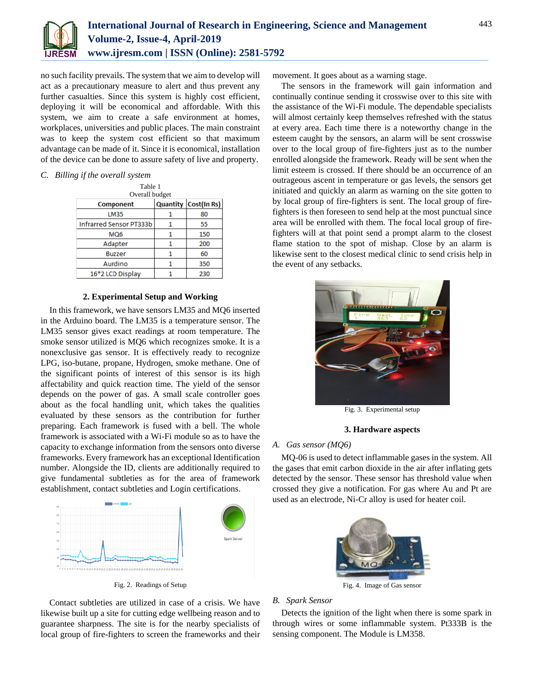

no such facility prevails. The system that we aim to develop will act as a precautionary measure to alert and thus prevent any further casualties. Since this system is highly cost efficient, deploying it will be economical and affordable. With this system, we aim to create a safe environment at homes, workplaces, universities and public places. The main constraint was to keep the system cost efficient so that maximum advantage can be made of it. Since it is economical, installation of the device can be done to assure safety of live and property.

#### *C. Billing if the overall system*

| Table |  |
|-------|--|
|       |  |

| Overall budget                 |  |                      |  |  |
|--------------------------------|--|----------------------|--|--|
| Component                      |  | Quantity Cost(In Rs) |  |  |
| LM35                           |  | 80                   |  |  |
| <b>Infrarred Sensor PT333b</b> |  | 55                   |  |  |
| MQ6                            |  | 150                  |  |  |
| Adapter                        |  | 200                  |  |  |
| <b>Buzzer</b>                  |  | 60                   |  |  |
| Aurdino                        |  | 350                  |  |  |
| 16*2 LCD Display               |  | 230                  |  |  |

### **2. Experimental Setup and Working**

In this framework, we have sensors LM35 and MQ6 inserted in the Arduino board. The LM35 is a temperature sensor. The LM35 sensor gives exact readings at room temperature. The smoke sensor utilized is MQ6 which recognizes smoke. It is a nonexclusive gas sensor. It is effectively ready to recognize LPG, iso-butane, propane, Hydrogen, smoke methane. One of the significant points of interest of this sensor is its high affectability and quick reaction time. The yield of the sensor depends on the power of gas. A small scale controller goes about as the focal handling unit, which takes the qualities evaluated by these sensors as the contribution for further preparing. Each framework is fused with a bell. The whole framework is associated with a Wi-Fi module so as to have the capacity to exchange information from the sensors onto diverse frameworks. Every framework has an exceptional Identification number. Alongside the ID, clients are additionally required to give fundamental subtleties as for the area of framework establishment, contact subtleties and Login certifications.



Fig. 2. Readings of Setup

Contact subtleties are utilized in case of a crisis. We have likewise built up a site for cutting edge wellbeing reason and to guarantee sharpness. The site is for the nearby specialists of local group of fire-fighters to screen the frameworks and their movement. It goes about as a warning stage.

The sensors in the framework will gain information and continually continue sending it crosswise over to this site with the assistance of the Wi-Fi module. The dependable specialists will almost certainly keep themselves refreshed with the status at every area. Each time there is a noteworthy change in the esteem caught by the sensors, an alarm will be sent crosswise over to the local group of fire-fighters just as to the number enrolled alongside the framework. Ready will be sent when the limit esteem is crossed. If there should be an occurrence of an outrageous ascent in temperature or gas levels, the sensors get initiated and quickly an alarm as warning on the site gotten to by local group of fire-fighters is sent. The local group of firefighters is then foreseen to send help at the most punctual since area will be enrolled with them. The focal local group of firefighters will at that point send a prompt alarm to the closest flame station to the spot of mishap. Close by an alarm is likewise sent to the closest medical clinic to send crisis help in the event of any setbacks.



Fig. 3. Experimental setup

## **3. Hardware aspects**

#### *A. Gas sensor (MQ6)*

MQ-06 is used to detect inflammable gases in the system. All the gases that emit carbon dioxide in the air after inflating gets detected by the sensor. These sensor has threshold value when crossed they give a notification. For gas where Au and Pt are used as an electrode, Ni-Cr alloy is used for heater coil.



Fig. 4. Image of Gas sensor

#### *B. Spark Sensor*

Detects the ignition of the light when there is some spark in through wires or some inflammable system. Pt333B is the sensing component. The Module is LM358.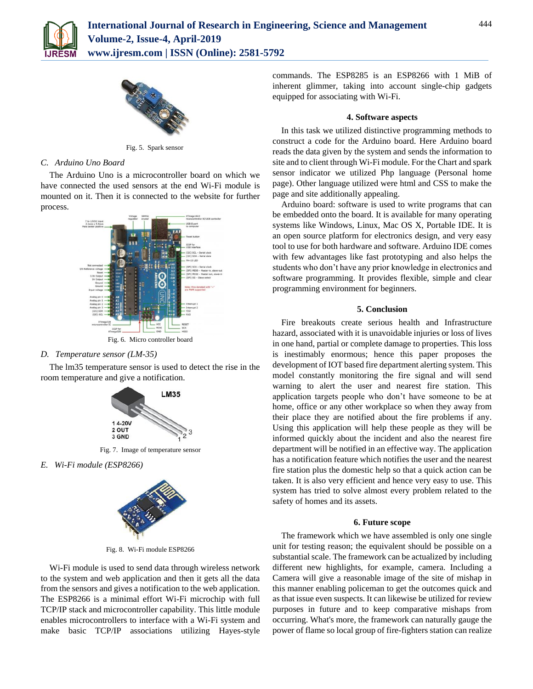



Fig. 5. Spark sensor

## *C. Arduino Uno Board*

The Arduino Uno is a microcontroller board on which we have connected the used sensors at the end Wi-Fi module is mounted on it. Then it is connected to the website for further process.



## *D. Temperature sensor (LM-35)*





Fig. 7. Image of temperature sensor

*E. Wi-Fi module (ESP8266)*



Fig. 8. Wi-Fi module ESP8266

Wi-Fi module is used to send data through wireless network to the system and web application and then it gets all the data from the sensors and gives a notification to the web application. The ESP8266 is a minimal effort Wi-Fi microchip with full TCP/IP stack and microcontroller capability. This little module enables microcontrollers to interface with a Wi-Fi system and make basic TCP/IP associations utilizing Hayes-style

commands. The ESP8285 is an ESP8266 with 1 MiB of inherent glimmer, taking into account single-chip gadgets equipped for associating with Wi-Fi.

## **4. Software aspects**

In this task we utilized distinctive programming methods to construct a code for the Arduino board. Here Arduino board reads the data given by the system and sends the information to site and to client through Wi-Fi module. For the Chart and spark sensor indicator we utilized Php language (Personal home page). Other language utilized were html and CSS to make the page and site additionally appealing.

Arduino board: software is used to write programs that can be embedded onto the board. It is available for many operating systems like Windows, Linux, Mac OS X, Portable IDE. It is an open source platform for electronics design, and very easy tool to use for both hardware and software. Arduino IDE comes with few advantages like fast prototyping and also helps the students who don't have any prior knowledge in electronics and software programming. It provides flexible, simple and clear programming environment for beginners.

## **5. Conclusion**

Fire breakouts create serious health and Infrastructure hazard, associated with it is unavoidable injuries or loss of lives in one hand, partial or complete damage to properties. This loss is inestimably enormous; hence this paper proposes the development of IOT based fire department alerting system. This model constantly monitoring the fire signal and will send warning to alert the user and nearest fire station. This application targets people who don't have someone to be at home, office or any other workplace so when they away from their place they are notified about the fire problems if any. Using this application will help these people as they will be informed quickly about the incident and also the nearest fire department will be notified in an effective way. The application has a notification feature which notifies the user and the nearest fire station plus the domestic help so that a quick action can be taken. It is also very efficient and hence very easy to use. This system has tried to solve almost every problem related to the safety of homes and its assets.

## **6. Future scope**

The framework which we have assembled is only one single unit for testing reason; the equivalent should be possible on a substantial scale. The framework can be actualized by including different new highlights, for example, camera. Including a Camera will give a reasonable image of the site of mishap in this manner enabling policeman to get the outcomes quick and as that issue even suspects. It can likewise be utilized for review purposes in future and to keep comparative mishaps from occurring. What's more, the framework can naturally gauge the power of flame so local group of fire-fighters station can realize